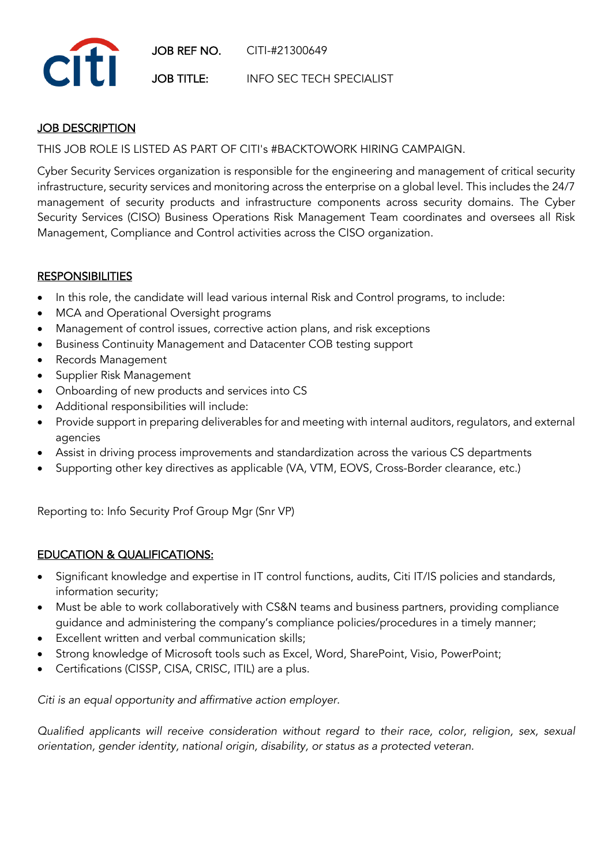

## **JOB DESCRIPTION**

THIS JOB ROLE IS LISTED AS PART OF CITI's #BACKTOWORK HIRING CAMPAIGN.

Cyber Security Services organization is responsible for the engineering and management of critical security infrastructure, security services and monitoring across the enterprise on a global level. This includes the 24/7 management of security products and infrastructure components across security domains. The Cyber Security Services (CISO) Business Operations Risk Management Team coordinates and oversees all Risk Management, Compliance and Control activities across the CISO organization.

## **RESPONSIBILITIES**

- In this role, the candidate will lead various internal Risk and Control programs, to include:
- MCA and Operational Oversight programs
- Management of control issues, corrective action plans, and risk exceptions
- Business Continuity Management and Datacenter COB testing support
- Records Management
- Supplier Risk Management
- Onboarding of new products and services into CS
- Additional responsibilities will include:
- Provide support in preparing deliverables for and meeting with internal auditors, regulators, and external agencies
- Assist in driving process improvements and standardization across the various CS departments
- Supporting other key directives as applicable (VA, VTM, EOVS, Cross-Border clearance, etc.)

Reporting to: Info Security Prof Group Mgr (Snr VP)

## EDUCATION & QUALIFICATIONS:

- Significant knowledge and expertise in IT control functions, audits, Citi IT/IS policies and standards, information security;
- Must be able to work collaboratively with CS&N teams and business partners, providing compliance guidance and administering the company's compliance policies/procedures in a timely manner;
- Excellent written and verbal communication skills;
- Strong knowledge of Microsoft tools such as Excel, Word, SharePoint, Visio, PowerPoint;
- Certifications (CISSP, CISA, CRISC, ITIL) are a plus.

*Citi is an equal opportunity and affirmative action employer.*

*Qualified applicants will receive consideration without regard to their race, color, religion, sex, sexual orientation, gender identity, national origin, disability, or status as a protected veteran.*